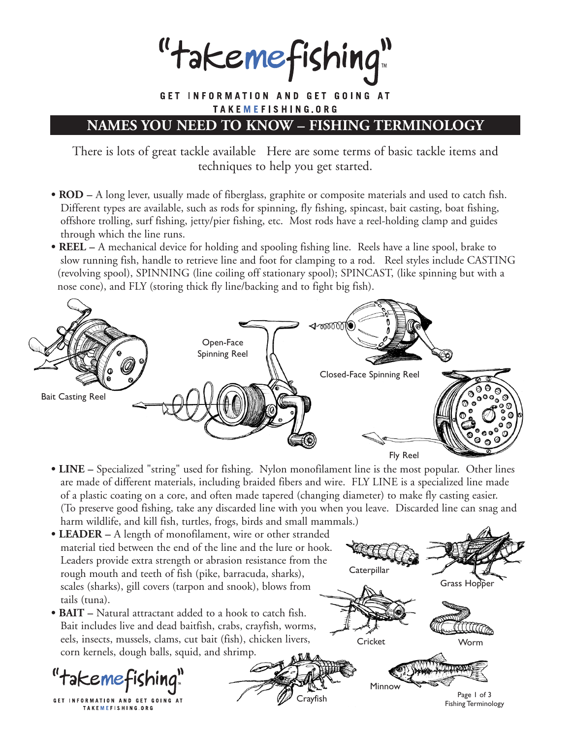"takemefishing"

GET INFORMATION AND GET GOING AT TAKEMEFISHING.ORG

## **NAMES YOU NEED TO KNOW – FISHING TERMINOLOGY**

There is lots of great tackle available Here are some terms of basic tackle items and techniques to help you get started.

- **ROD** A long lever, usually made of fiberglass, graphite or composite materials and used to catch fish. Different types are available, such as rods for spinning, fly fishing, spincast, bait casting, boat fishing, offshore trolling, surf fishing, jetty/pier fishing, etc. Most rods have a reel-holding clamp and guides through which the line runs.
- **REEL** A mechanical device for holding and spooling fishing line. Reels have a line spool, brake to slow running fish, handle to retrieve line and foot for clamping to a rod. Reel styles include CASTING (revolving spool), SPINNING (line coiling off stationary spool); SPINCAST, (like spinning but with a nose cone), and FLY (storing thick fly line/backing and to fight big fish).



- **LINE** Specialized "string" used for fishing. Nylon monofilament line is the most popular. Other lines are made of different materials, including braided fibers and wire. FLY LINE is a specialized line made of a plastic coating on a core, and often made tapered (changing diameter) to make fly casting easier. (To preserve good fishing, take any discarded line with you when you leave. Discarded line can snag and harm wildlife, and kill fish, turtles, frogs, birds and small mammals.)
- **LEADER –** A length of monofilament, wire or other stranded material tied between the end of the line and the lure or hook. Leaders provide extra strength or abrasion resistance from the rough mouth and teeth of fish (pike, barracuda, sharks), scales (sharks), gill covers (tarpon and snook), blows from tails (tuna).
- **BAIT** Natural attractant added to a hook to catch fish. Bait includes live and dead baitfish, crabs, crayfish, worms, eels, insects, mussels, clams, cut bait (fish), chicken livers, corn kernels, dough balls, squid, and shrimp.

"takemefishing!

GET INFORMATION AND GET GOING AT TAKEMEFISHING.ORG



Fishing Terminology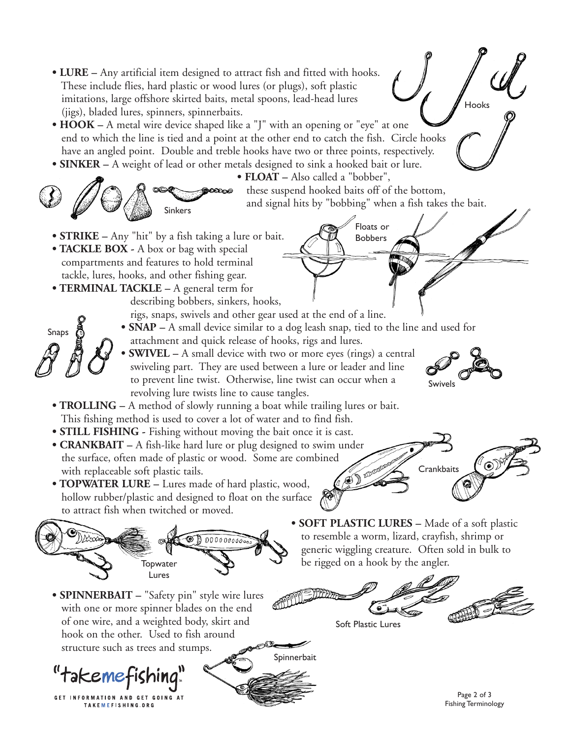**• LURE –** Any artificial item designed to attract fish and fitted with hooks. These include flies, hard plastic or wood lures (or plugs), soft plastic imitations, large offshore skirted baits, metal spoons, lead-head lures Hooks (jigs), bladed lures, spinners, spinnerbaits. • **HOOK** – A metal wire device shaped like a "J" with an opening or "eye" at one end to which the line is tied and a point at the other end to catch the fish. Circle hooks have an angled point. Double and treble hooks have two or three points, respectively. **• SINKER –** A weight of lead or other metals designed to sink a hooked bait or lure. **• FLOAT –** Also called a "bobber", these suspend hooked baits off of the bottom, කුණුග and signal hits by "bobbing" when a fish takes the bait. Sinkers Floats or **• STRIKE –** Any "hit" by a fish taking a lure or bait. Bobbers**• TACKLE BOX -** A box or bag with special compartments and features to hold terminal tackle, lures, hooks, and other fishing gear. **• TERMINAL TACKLE –** A general term for describing bobbers, sinkers, hooks, rigs, snaps, swivels and other gear used at the end of a line. **• SNAP –** A small device similar to a dog leash snap, tied to the line and used for Snaps attachment and quick release of hooks, rigs and lures. **• SWIVEL –** A small device with two or more eyes (rings) a central swiveling part. They are used between a lure or leader and line to prevent line twist. Otherwise, line twist can occur when a Swivels revolving lure twists line to cause tangles. **• TROLLING –** A method of slowly running a boat while trailing lures or bait. This fishing method is used to cover a lot of water and to find fish. **• STILL FISHING - Fishing without moving the bait once it is cast. • CRANKBAIT –** A fish-like hard lure or plug designed to swim under the surface, often made of plastic or wood. Some are combined<br>with replaceable soft plastic tails.<br>**TOPWATER LURE** – Lures mesh and the state of the state of the state of the state of the state of the state of the state of **Crankbaits** with replaceable soft plastic tails. **• TOPWATER LURE –** Lures made of hard plastic, wood, hollow rubber/plastic and designed to float on the surface to attract fish when twitched or moved. **• SOFT PLASTIC LURES –** Made of a soft plastic to resemble a worm, lizard, crayfish, shrimp or  $\beta$ DDDDDDDDD generic wiggling creature. Often sold in bulk to be rigged on a hook by the angler. **Topwater** Lures **• SPINNERBAIT –** "Safety pin" style wire lures with one or more spinner blades on the end of one wire, and a weighted body, skirt and Soft Plastic Lures hook on the other. Used to fish around structure such as trees and stumps. Spinnerbait 'takemefishing

GET INFORMATION AND GET GOING AT TAKEMEFISHING.ORG

Page 2 of 3 Fishing Terminology